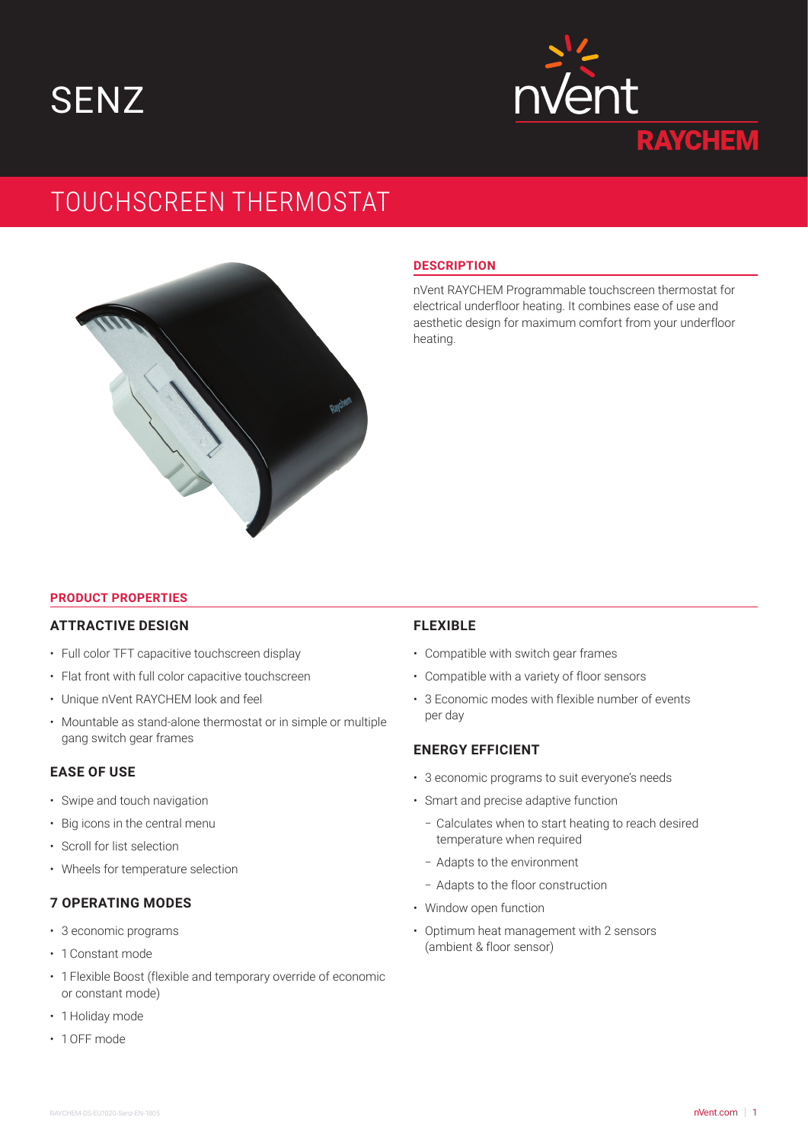**SENZ** 



# TOUCHSCREEN THERMOSTAT



#### **DESCRIPTION**

nVent RAYCHEM Programmable touchscreen thermostat for electrical underfloor heating. It combines ease of use and aesthetic design for maximum comfort from your underfloor heating.

#### **PRODUCT PROPERTIES**

# **ATTRACTIVE DESIGN**

- Full color TFT capacitive touchscreen display
- Flat front with full color capacitive touchscreen
- Unique nVent RAYCHEM look and feel
- Mountable as stand-alone thermostat or in simple or multiple gang switch gear frames

## **EASE OF USE**

- Swipe and touch navigation
- Big icons in the central menu
- Scroll for list selection
- Wheels for temperature selection

### **7 OPERATING MODES**

- 3 economic programs
- 1 Constant mode
- 1 Flexible Boost (flexible and temporary override of economic or constant mode)
- 1 Holiday mode
- 1 OFF mode

### **FLEXIBLE**

- Compatible with switch gear frames
- Compatible with a variety of floor sensors
- 3 Economic modes with flexible number of events per day

## **ENERGY EFFICIENT**

- 3 economic programs to suit everyone's needs
- Smart and precise adaptive function
	- Calculates when to start heating to reach desired temperature when required
	- Adapts to the environment
	- Adapts to the floor construction
- Window open function
- Optimum heat management with 2 sensors (ambient & floor sensor)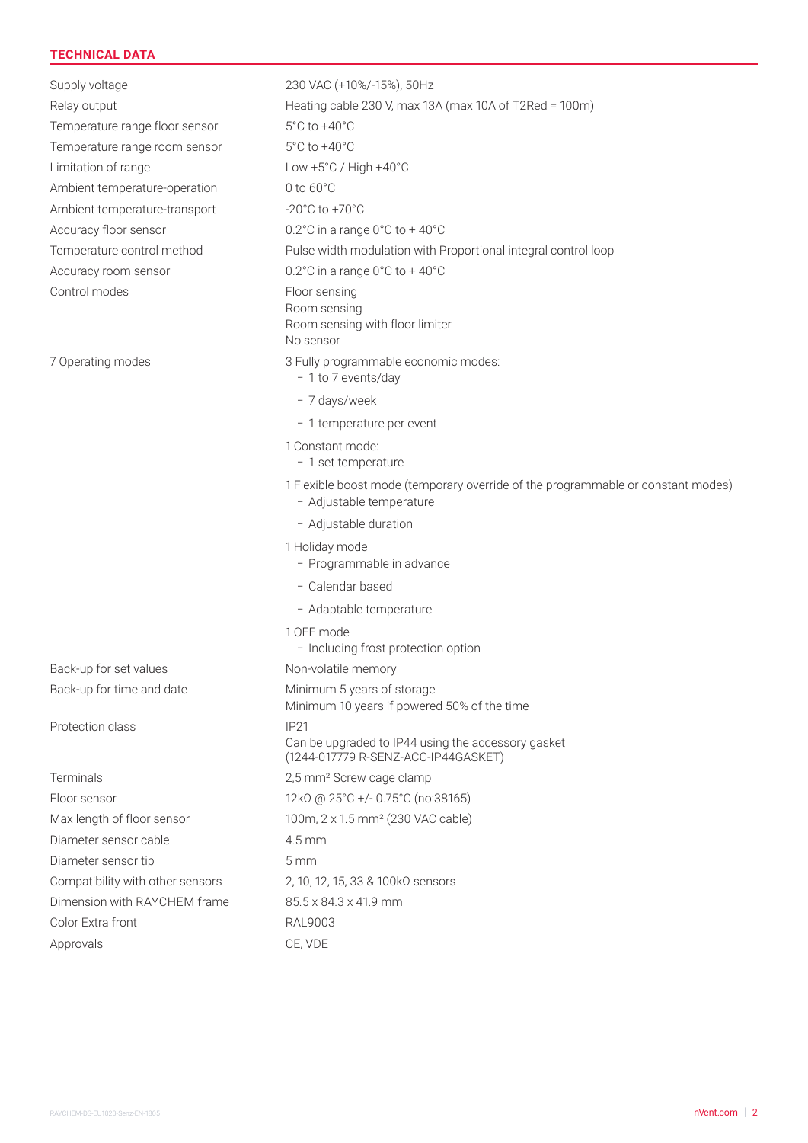# **TECHNICAL DATA**

Temperature range floor sensor 5°C to +40°C Temperature range room sensor 5°C to +40°C Limitation of range Low +5°C / High +40°C Ambient temperature-operation 0 to 60°C Ambient temperature-transport -20°C to +70°C Accuracy floor sensor 0.2°C in a range 0°C to +40°C Accuracy room sensor 0.2°C in a range 0°C to +40°C Control modes Floor sensing

Protection class IP21

Diameter sensor cable 4.5 mm Diameter sensor tip 5 mm Dimension with RAYCHEM frame 85.5 x 84.3 x 41.9 mm Color Extra front RAL9003

Supply voltage 230 VAC (+10%/-15%), 50Hz Relay output **Heating cable 230 V, max 13A (max 10A of T2Red = 100m)** Temperature control method Pulse width modulation with Proportional integral control loop Room sensing Room sensing with floor limiter No sensor 7 Operating modes 3 Fully programmable economic modes: – 1 to 7 events/day – 7 days/week – 1 temperature per event 1 Constant mode: – 1 set temperature 1 Flexible boost mode (temporary override of the programmable or constant modes) – Adjustable temperature – Adjustable duration 1 Holiday mode – Programmable in advance – Calendar based – Adaptable temperature 1 OFF mode – Including frost protection option Back-up for set values Non-volatile memory Back-up for time and date Minimum 5 years of storage Minimum 10 years if powered 50% of the time Can be upgraded to IP44 using the accessory gasket (1244-017779 R-SENZ-ACC-IP44GASKET) Terminals 2,5 mm² Screw cage clamp Floor sensor 12kΩ @ 25°C +/- 0.75°C (no:38165) Max length of floor sensor 100m, 2 x 1.5 mm<sup>2</sup> (230 VAC cable) Compatibility with other sensors 2, 10, 12, 15, 33 & 100kΩ sensors Approvals CE, VDE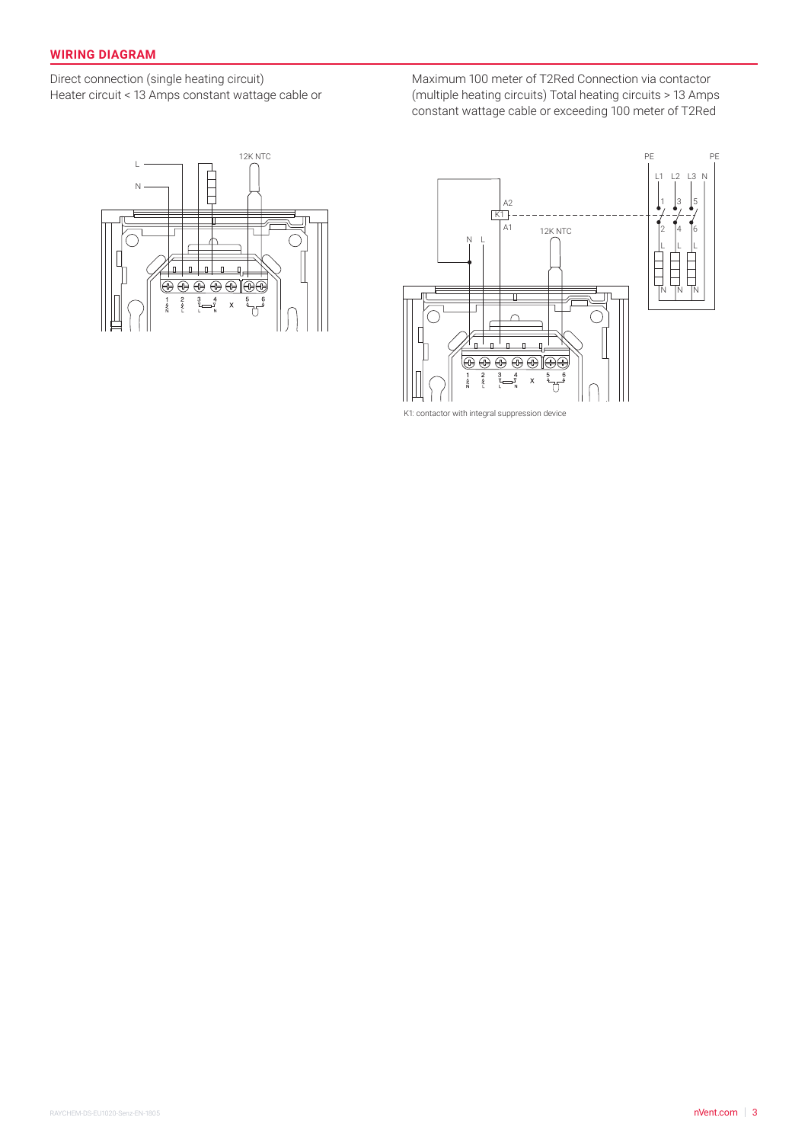## **WIRING DIAGRAM**

Direct connection (single heating circuit) Heater circuit < 13 Amps constant wattage cable or Maximum 100 meter of T2Red Connection via contactor (multiple heating circuits) Total heating circuits > 13 Amps constant wattage cable or exceeding 100 meter of T2Red





K1: contactor with integral suppression device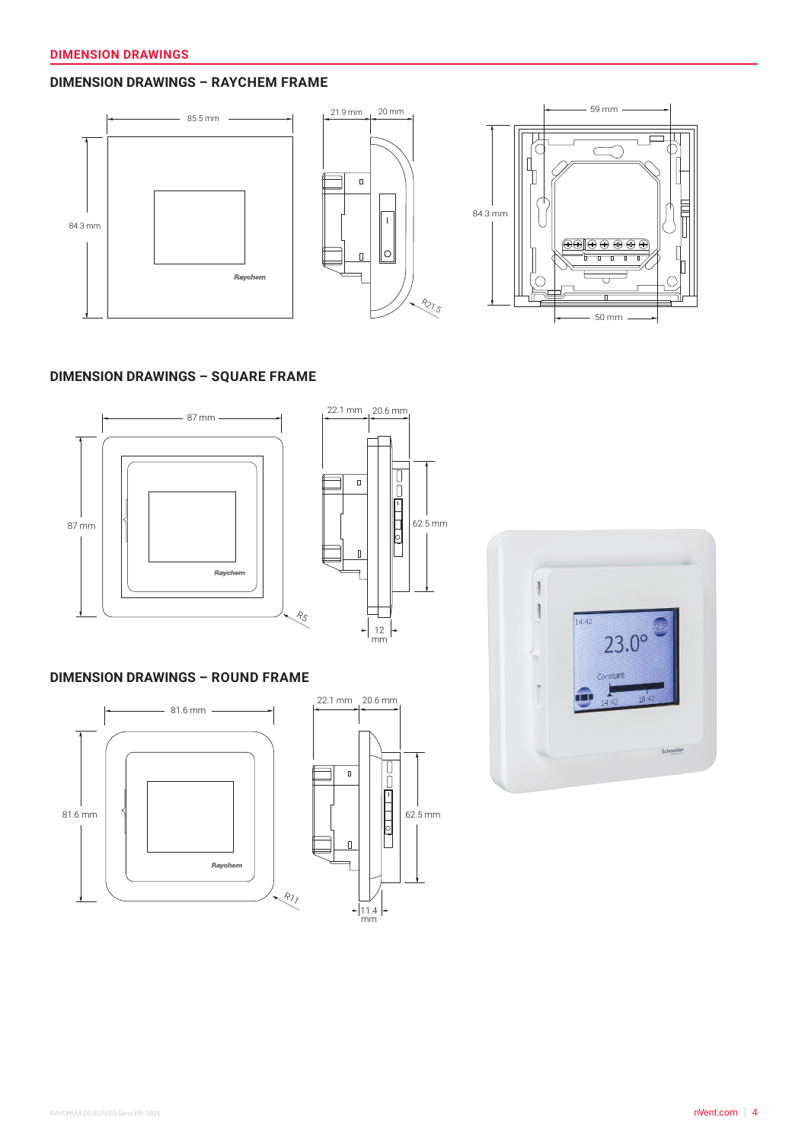# **DIMENSION DRAWINGS – RAYCHEM FRAME**



#### **DIMENSION DRAWINGS – SQUARE FRAME**





# **DIMENSION DRAWINGS – ROUND FRAME**